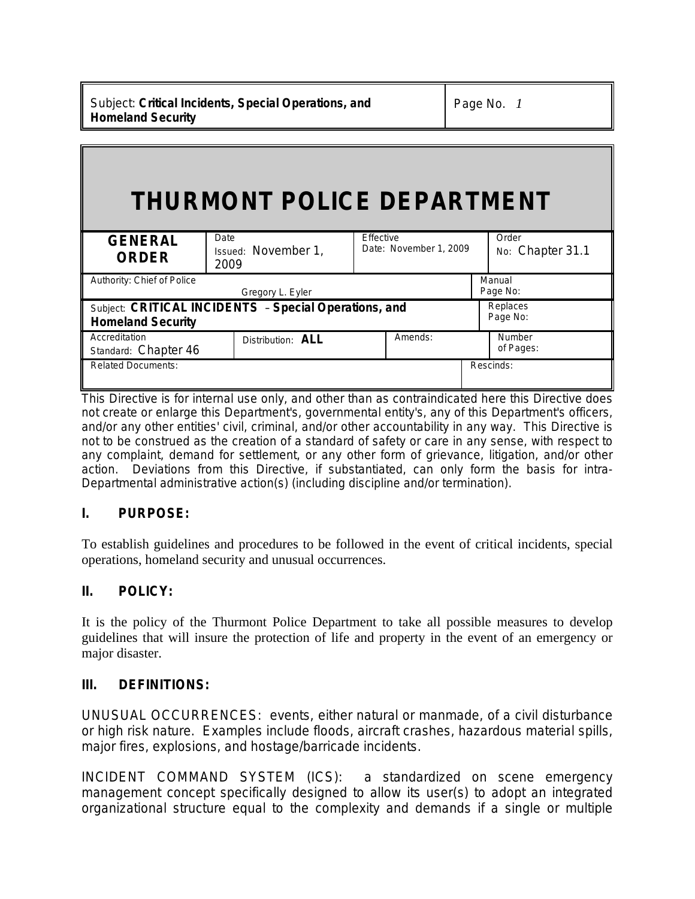# **THURMONT POLICE DEPARTMENT**

| <b>GENERAL</b><br><b>ORDER</b>                                                    | Date<br>Issued: November 1,<br>2009 | <b>Effective</b><br>Date: November 1, 2009 | Order<br>No: Chapter 31.1 |
|-----------------------------------------------------------------------------------|-------------------------------------|--------------------------------------------|---------------------------|
| Authority: Chief of Police                                                        |                                     |                                            | Manual                    |
| Gregory L. Eyler                                                                  |                                     |                                            | Page No:                  |
| Subject: CRITICAL INCIDENTS - Special Operations, and<br><b>Homeland Security</b> |                                     |                                            | Replaces<br>Page No:      |
| Accreditation<br>Standard: Chapter 46                                             | Distribution: <b>ALL</b>            | Amends:                                    | Number<br>of Pages:       |
| <b>Related Documents:</b>                                                         |                                     |                                            | Rescinds:                 |

This Directive is for internal use only, and other than as contraindicated here this Directive does not create or enlarge this Department's, governmental entity's, any of this Department's officers, and/or any other entities' civil, criminal, and/or other accountability in any way. This Directive is not to be construed as the creation of a standard of safety or care in any sense, with respect to any complaint, demand for settlement, or any other form of grievance, litigation, and/or other action. Deviations from this Directive, if substantiated, can only form the basis for intra-Departmental administrative action(s) (including discipline and/or termination).

# **I. PURPOSE:**

To establish guidelines and procedures to be followed in the event of critical incidents, special operations, homeland security and unusual occurrences.

# **II. POLICY:**

It is the policy of the Thurmont Police Department to take all possible measures to develop guidelines that will insure the protection of life and property in the event of an emergency or major disaster.

### **III. DEFINITIONS:**

UNUSUAL OCCURRENCES: events, either natural or manmade, of a civil disturbance or high risk nature. Examples include floods, aircraft crashes, hazardous material spills, major fires, explosions, and hostage/barricade incidents.

INCIDENT COMMAND SYSTEM (ICS): a standardized on scene emergency management concept specifically designed to allow its user(s) to adopt an integrated organizational structure equal to the complexity and demands if a single or multiple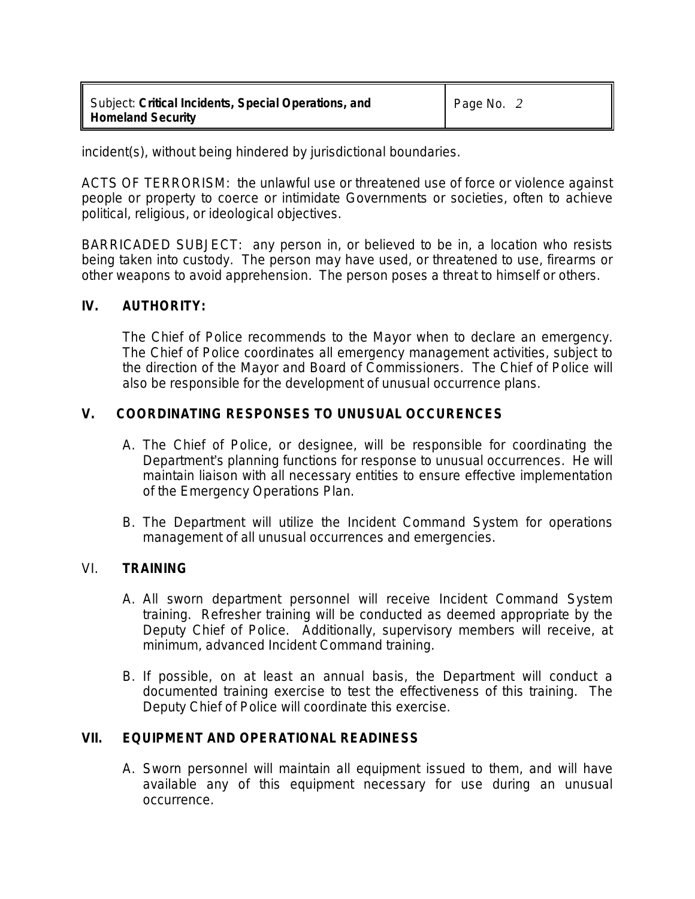### *Subject: Critical Incidents, Special Operations, and Homeland Security*

incident(s), without being hindered by jurisdictional boundaries.

ACTS OF TERRORISM: the unlawful use or threatened use of force or violence against people or property to coerce or intimidate Governments or societies, often to achieve political, religious, or ideological objectives.

BARRICADED SUBJECT: any person in, or believed to be in, a location who resists being taken into custody. The person may have used, or threatened to use, firearms or other weapons to avoid apprehension. The person poses a threat to himself or others.

## **IV. AUTHORITY:**

The Chief of Police recommends to the Mayor when to declare an emergency. The Chief of Police coordinates all emergency management activities, subject to the direction of the Mayor and Board of Commissioners. The Chief of Police will also be responsible for the development of unusual occurrence plans.

## **V. COORDINATING RESPONSES TO UNUSUAL OCCURENCES**

- A. The Chief of Police, or designee, will be responsible for coordinating the Department's planning functions for response to unusual occurrences. He will maintain liaison with all necessary entities to ensure effective implementation of the Emergency Operations Plan.
- B. The Department will utilize the Incident Command System for operations management of all unusual occurrences and emergencies.

### VI. **TRAINING**

- A. All sworn department personnel will receive Incident Command System training. Refresher training will be conducted as deemed appropriate by the Deputy Chief of Police. Additionally, supervisory members will receive, at minimum, advanced Incident Command training.
- B. If possible, on at least an annual basis, the Department will conduct a documented training exercise to test the effectiveness of this training. The Deputy Chief of Police will coordinate this exercise.

### **VII. EQUIPMENT AND OPERATIONAL READINESS**

A. Sworn personnel will maintain all equipment issued to them, and will have available any of this equipment necessary for use during an unusual occurrence.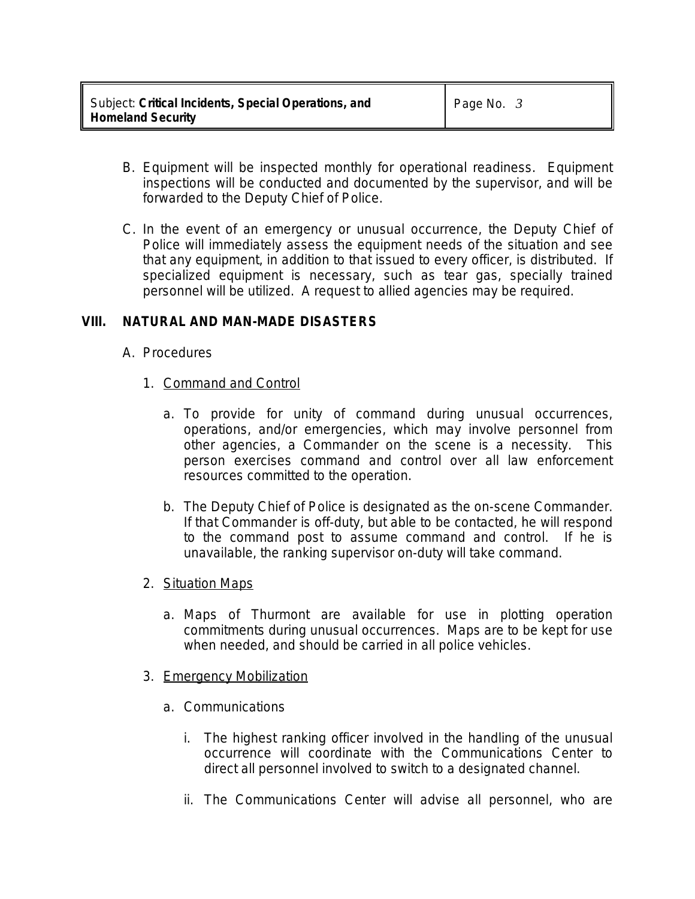- B. Equipment will be inspected monthly for operational readiness. Equipment inspections will be conducted and documented by the supervisor, and will be forwarded to the Deputy Chief of Police.
- C. In the event of an emergency or unusual occurrence, the Deputy Chief of Police will immediately assess the equipment needs of the situation and see that any equipment, in addition to that issued to every officer, is distributed. If specialized equipment is necessary, such as tear gas, specially trained personnel will be utilized. A request to allied agencies may be required.

# **VIII. NATURAL AND MAN-MADE DISASTERS**

- A. Procedures
	- 1. Command and Control
		- a. To provide for unity of command during unusual occurrences, operations, and/or emergencies, which may involve personnel from other agencies, a Commander on the scene is a necessity. This person exercises command and control over all law enforcement resources committed to the operation.
		- b. The Deputy Chief of Police is designated as the on-scene Commander. If that Commander is off-duty, but able to be contacted, he will respond to the command post to assume command and control. If he is unavailable, the ranking supervisor on-duty will take command.
	- 2. Situation Maps
		- a. Maps of Thurmont are available for use in plotting operation commitments during unusual occurrences. Maps are to be kept for use when needed, and should be carried in all police vehicles.
	- 3. Emergency Mobilization
		- a. Communications
			- i. The highest ranking officer involved in the handling of the unusual occurrence will coordinate with the Communications Center to direct all personnel involved to switch to a designated channel.
			- ii. The Communications Center will advise all personnel, who are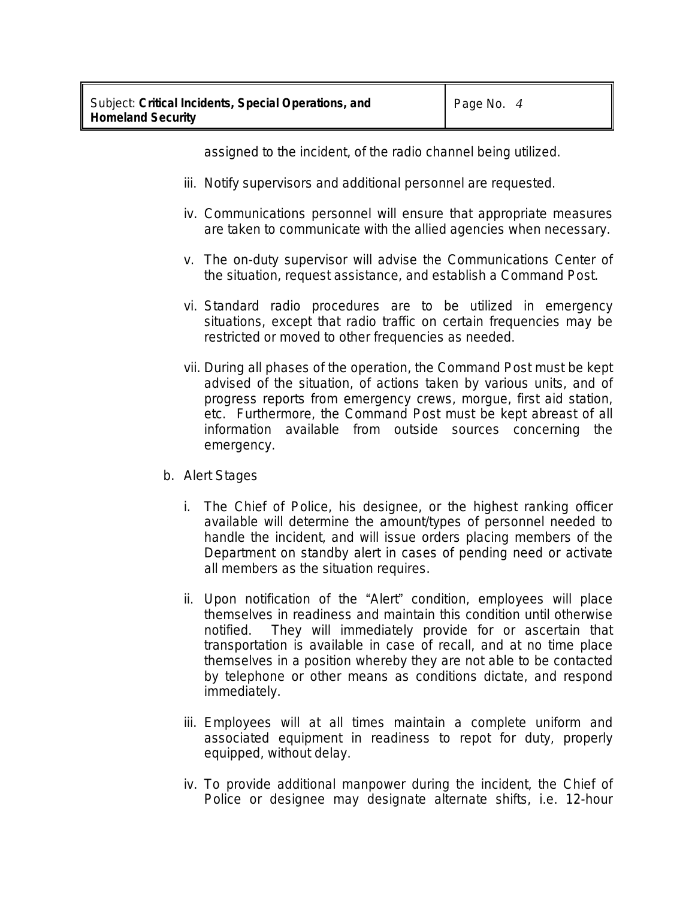assigned to the incident, of the radio channel being utilized.

- iii. Notify supervisors and additional personnel are requested.
- iv. Communications personnel will ensure that appropriate measures are taken to communicate with the allied agencies when necessary.
- v. The on-duty supervisor will advise the Communications Center of the situation, request assistance, and establish a Command Post.
- vi. Standard radio procedures are to be utilized in emergency situations, except that radio traffic on certain frequencies may be restricted or moved to other frequencies as needed.
- vii. During all phases of the operation, the Command Post must be kept advised of the situation, of actions taken by various units, and of progress reports from emergency crews, morgue, first aid station, etc. Furthermore, the Command Post must be kept abreast of all information available from outside sources concerning the emergency.
- b. Alert Stages
	- i. The Chief of Police, his designee, or the highest ranking officer available will determine the amount/types of personnel needed to handle the incident, and will issue orders placing members of the Department on standby alert in cases of pending need or activate all members as the situation requires.
	- ii. Upon notification of the "Alert" condition, employees will place themselves in readiness and maintain this condition until otherwise notified. They will immediately provide for or ascertain that transportation is available in case of recall, and at no time place themselves in a position whereby they are not able to be contacted by telephone or other means as conditions dictate, and respond immediately.
	- iii. Employees will at all times maintain a complete uniform and associated equipment in readiness to repot for duty, properly equipped, without delay.
	- iv. To provide additional manpower during the incident, the Chief of Police or designee may designate alternate shifts, i.e. 12-hour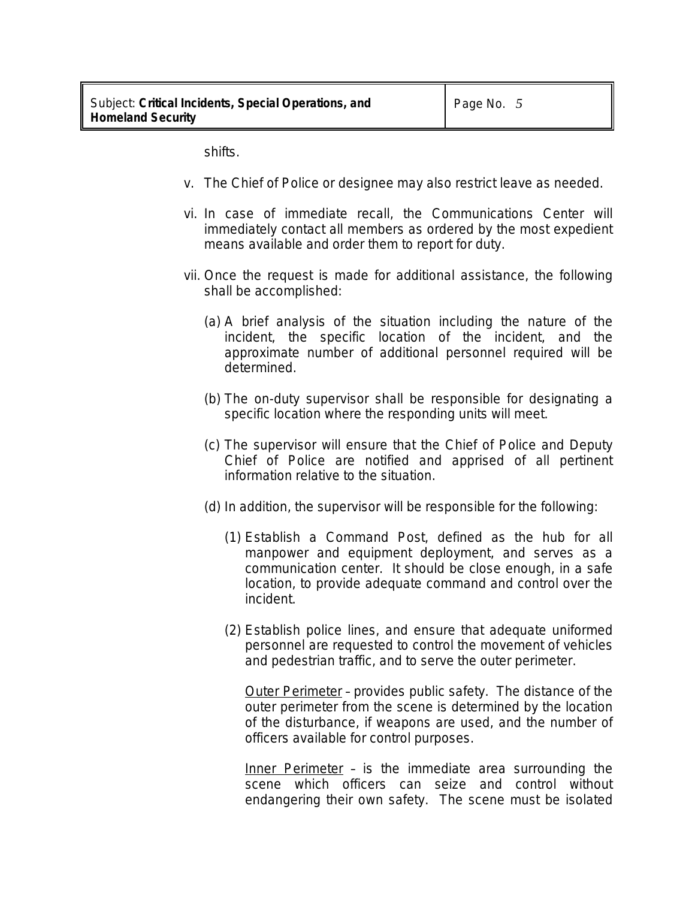shifts.

- v. The Chief of Police or designee may also restrict leave as needed.
- vi. In case of immediate recall, the Communications Center will immediately contact all members as ordered by the most expedient means available and order them to report for duty.
- vii. Once the request is made for additional assistance, the following shall be accomplished:
	- (a) A brief analysis of the situation including the nature of the incident, the specific location of the incident, and the approximate number of additional personnel required will be determined.
	- (b) The on-duty supervisor shall be responsible for designating a specific location where the responding units will meet.
	- (c) The supervisor will ensure that the Chief of Police and Deputy Chief of Police are notified and apprised of all pertinent information relative to the situation.
	- (d) In addition, the supervisor will be responsible for the following:
		- (1) Establish a Command Post, defined as the hub for all manpower and equipment deployment, and serves as a communication center. It should be close enough, in a safe location, to provide adequate command and control over the incident.
		- (2) Establish police lines, and ensure that adequate uniformed personnel are requested to control the movement of vehicles and pedestrian traffic, and to serve the outer perimeter.

Outer Perimeter – provides public safety. The distance of the outer perimeter from the scene is determined by the location of the disturbance, if weapons are used, and the number of officers available for control purposes.

Inner Perimeter – is the immediate area surrounding the scene which officers can seize and control without endangering their own safety. The scene must be isolated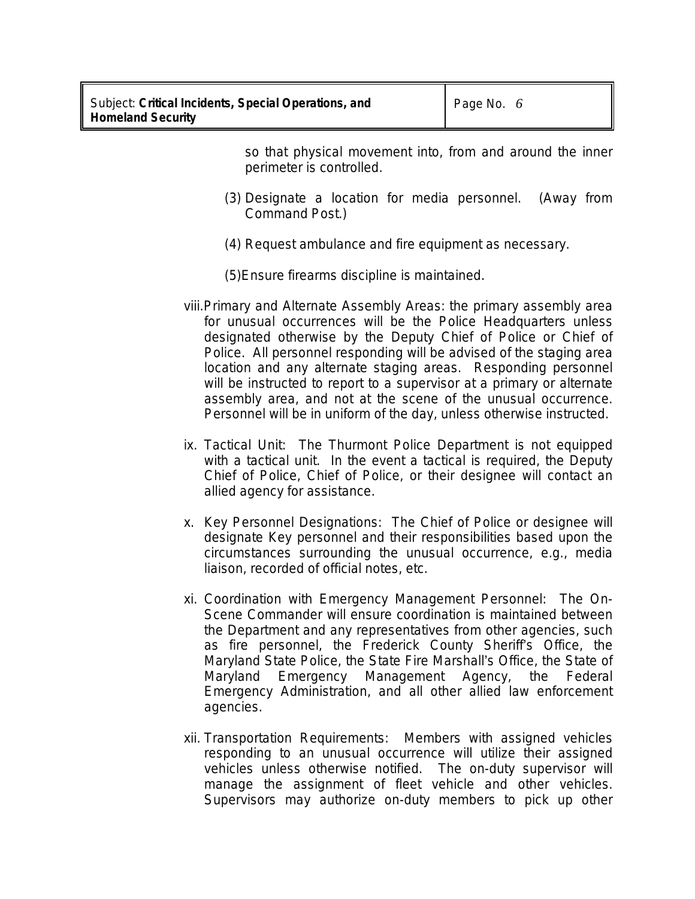so that physical movement into, from and around the inner perimeter is controlled.

- (3) Designate a location for media personnel. (Away from Command Post.)
- (4) Request ambulance and fire equipment as necessary.

(5)Ensure firearms discipline is maintained.

- viii.Primary and Alternate Assembly Areas: the primary assembly area for unusual occurrences will be the Police Headquarters unless designated otherwise by the Deputy Chief of Police or Chief of Police. All personnel responding will be advised of the staging area location and any alternate staging areas. Responding personnel will be instructed to report to a supervisor at a primary or alternate assembly area, and not at the scene of the unusual occurrence. Personnel will be in uniform of the day, unless otherwise instructed.
- ix. Tactical Unit: The Thurmont Police Department is not equipped with a tactical unit. In the event a tactical is required, the Deputy Chief of Police, Chief of Police, or their designee will contact an allied agency for assistance.
- x. Key Personnel Designations: The Chief of Police or designee will designate Key personnel and their responsibilities based upon the circumstances surrounding the unusual occurrence, e.g., media liaison, recorded of official notes, etc.
- xi. Coordination with Emergency Management Personnel: The On-Scene Commander will ensure coordination is maintained between the Department and any representatives from other agencies, such as fire personnel, the Frederick County Sheriff's Office, the Maryland State Police, the State Fire Marshall's Office, the State of Maryland Emergency Management Agency, the Federal Emergency Administration, and all other allied law enforcement agencies.
- xii. Transportation Requirements: Members with assigned vehicles responding to an unusual occurrence will utilize their assigned vehicles unless otherwise notified. The on-duty supervisor will manage the assignment of fleet vehicle and other vehicles. Supervisors may authorize on-duty members to pick up other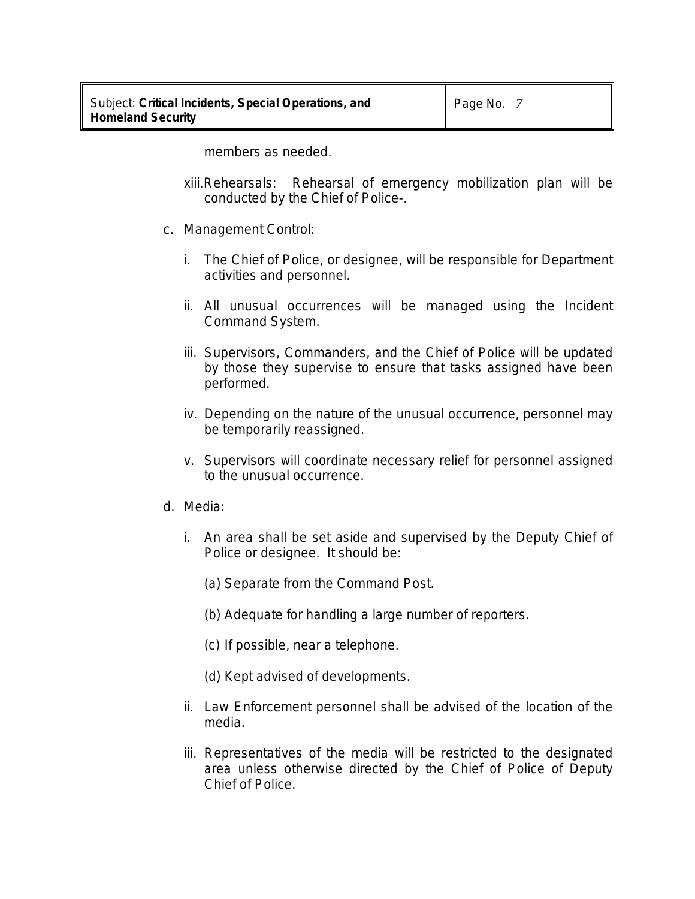members as needed.

- xiii.Rehearsals: Rehearsal of emergency mobilization plan will be conducted by the Chief of Police-.
- c. Management Control:
	- i. The Chief of Police, or designee, will be responsible for Department activities and personnel.
	- ii. All unusual occurrences will be managed using the Incident Command System.
	- iii. Supervisors, Commanders, and the Chief of Police will be updated by those they supervise to ensure that tasks assigned have been performed.
	- iv. Depending on the nature of the unusual occurrence, personnel may be temporarily reassigned.
	- v. Supervisors will coordinate necessary relief for personnel assigned to the unusual occurrence.
- d. Media:
	- i. An area shall be set aside and supervised by the Deputy Chief of Police or designee. It should be:
		- (a) Separate from the Command Post.
		- (b) Adequate for handling a large number of reporters.
		- (c) If possible, near a telephone.
		- (d) Kept advised of developments.
	- ii. Law Enforcement personnel shall be advised of the location of the media.
	- iii. Representatives of the media will be restricted to the designated area unless otherwise directed by the Chief of Police of Deputy Chief of Police.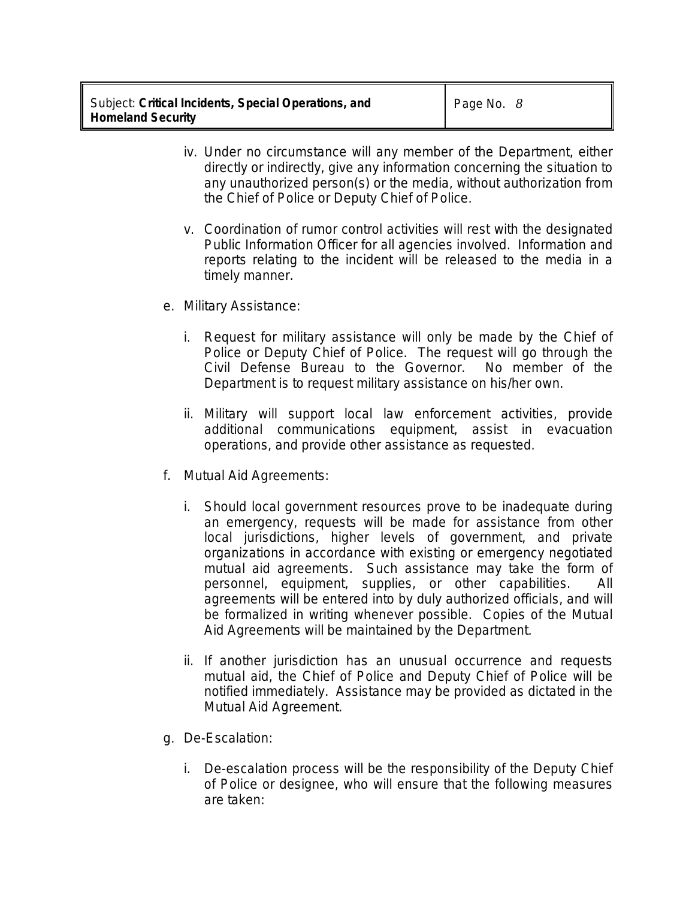- iv. Under no circumstance will any member of the Department, either directly or indirectly, give any information concerning the situation to any unauthorized person(s) or the media, without authorization from the Chief of Police or Deputy Chief of Police.
- v. Coordination of rumor control activities will rest with the designated Public Information Officer for all agencies involved. Information and reports relating to the incident will be released to the media in a timely manner.
- e. Military Assistance:
	- i. Request for military assistance will only be made by the Chief of Police or Deputy Chief of Police. The request will go through the Civil Defense Bureau to the Governor. No member of the Department is to request military assistance on his/her own.
	- ii. Military will support local law enforcement activities, provide additional communications equipment, assist in evacuation operations, and provide other assistance as requested.
- f. Mutual Aid Agreements:
	- i. Should local government resources prove to be inadequate during an emergency, requests will be made for assistance from other local jurisdictions, higher levels of government, and private organizations in accordance with existing or emergency negotiated mutual aid agreements. Such assistance may take the form of personnel, equipment, supplies, or other capabilities. All agreements will be entered into by duly authorized officials, and will be formalized in writing whenever possible. Copies of the Mutual Aid Agreements will be maintained by the Department.
	- ii. If another jurisdiction has an unusual occurrence and requests mutual aid, the Chief of Police and Deputy Chief of Police will be notified immediately. Assistance may be provided as dictated in the Mutual Aid Agreement.
- g. De-Escalation:
	- i. De-escalation process will be the responsibility of the Deputy Chief of Police or designee, who will ensure that the following measures are taken: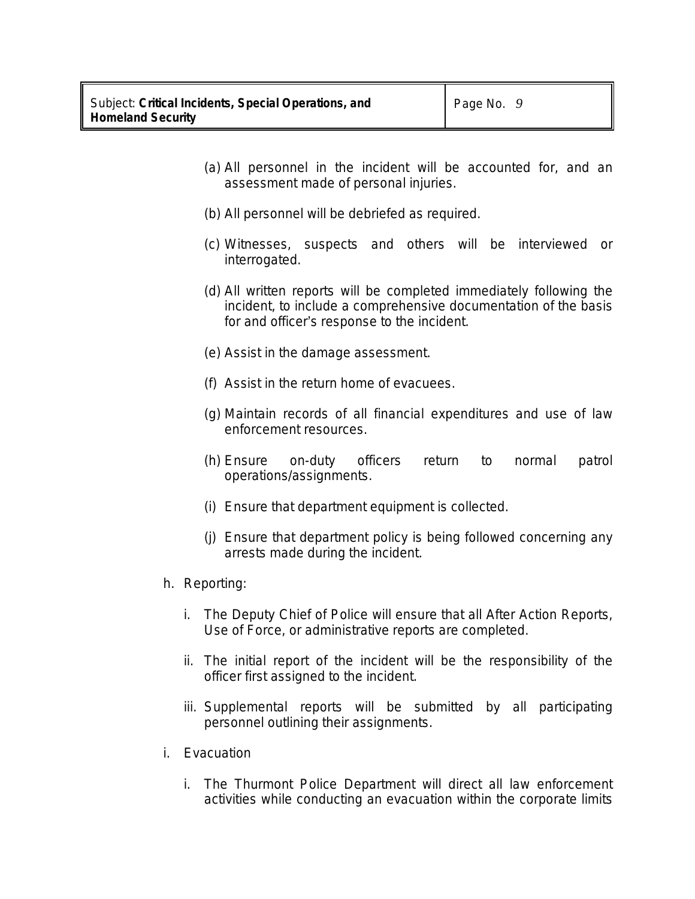- (a) All personnel in the incident will be accounted for, and an assessment made of personal injuries.
- (b) All personnel will be debriefed as required.
- (c) Witnesses, suspects and others will be interviewed or interrogated.
- (d) All written reports will be completed immediately following the incident, to include a comprehensive documentation of the basis for and officer's response to the incident.
- (e) Assist in the damage assessment.
- (f) Assist in the return home of evacuees.
- (g) Maintain records of all financial expenditures and use of law enforcement resources.
- (h) Ensure on-duty officers return to normal patrol operations/assignments.
- (i) Ensure that department equipment is collected.
- (j) Ensure that department policy is being followed concerning any arrests made during the incident.
- h. Reporting:
	- i. The Deputy Chief of Police will ensure that all After Action Reports, Use of Force, or administrative reports are completed.
	- ii. The initial report of the incident will be the responsibility of the officer first assigned to the incident.
	- iii. Supplemental reports will be submitted by all participating personnel outlining their assignments.
- i. Evacuation
	- i. The Thurmont Police Department will direct all law enforcement activities while conducting an evacuation within the corporate limits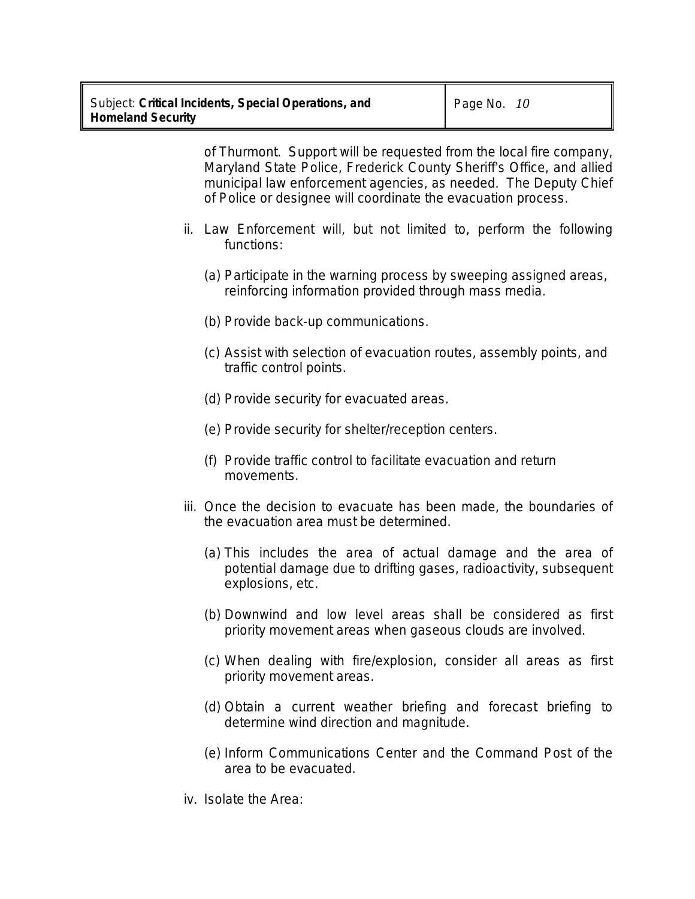of Thurmont. Support will be requested from the local fire company, Maryland State Police, Frederick County Sheriff's Office, and allied municipal law enforcement agencies, as needed. The Deputy Chief of Police or designee will coordinate the evacuation process.

- ii. Law Enforcement will, but not limited to, perform the following functions:
	- (a) Participate in the warning process by sweeping assigned areas, reinforcing information provided through mass media.
	- (b) Provide back-up communications.
	- (c) Assist with selection of evacuation routes, assembly points, and traffic control points.
	- (d) Provide security for evacuated areas.
	- (e) Provide security for shelter/reception centers.
	- (f) Provide traffic control to facilitate evacuation and return movements.
- iii. Once the decision to evacuate has been made, the boundaries of the evacuation area must be determined.
	- (a) This includes the area of actual damage and the area of potential damage due to drifting gases, radioactivity, subsequent explosions, etc.
	- (b) Downwind and low level areas shall be considered as first priority movement areas when gaseous clouds are involved.
	- (c) When dealing with fire/explosion, consider all areas as first priority movement areas.
	- (d) Obtain a current weather briefing and forecast briefing to determine wind direction and magnitude.
	- (e) Inform Communications Center and the Command Post of the area to be evacuated.
- iv. Isolate the Area: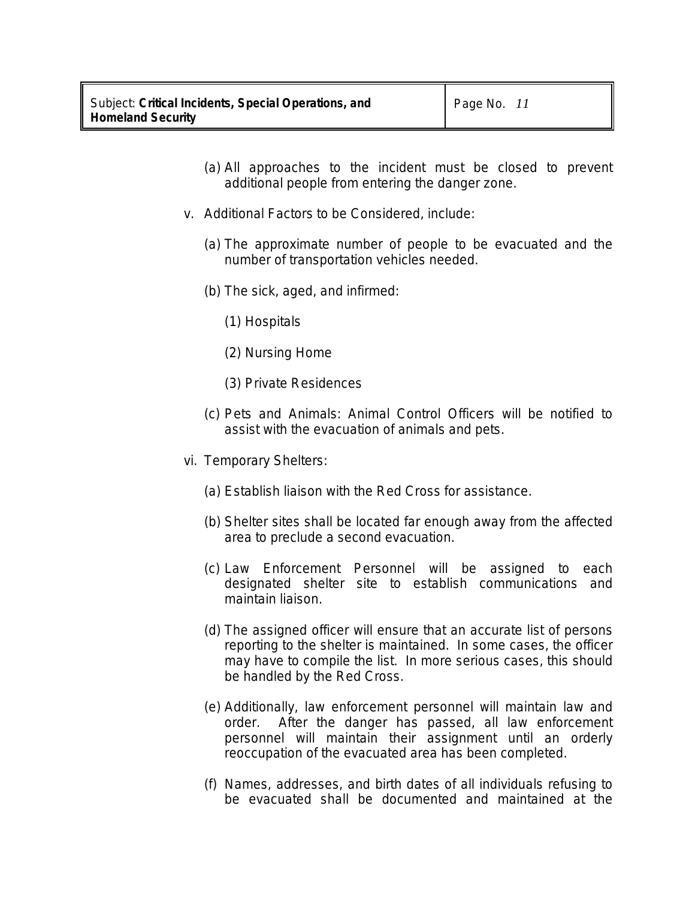- (a) All approaches to the incident must be closed to prevent additional people from entering the danger zone.
- v. Additional Factors to be Considered, include:
	- (a) The approximate number of people to be evacuated and the number of transportation vehicles needed.
	- (b) The sick, aged, and infirmed:
		- (1) Hospitals
		- (2) Nursing Home
		- (3) Private Residences
	- (c) Pets and Animals: Animal Control Officers will be notified to assist with the evacuation of animals and pets.
- vi. Temporary Shelters:
	- (a) Establish liaison with the Red Cross for assistance.
	- (b) Shelter sites shall be located far enough away from the affected area to preclude a second evacuation.
	- (c) Law Enforcement Personnel will be assigned to each designated shelter site to establish communications and maintain liaison.
	- (d) The assigned officer will ensure that an accurate list of persons reporting to the shelter is maintained. In some cases, the officer may have to compile the list. In more serious cases, this should be handled by the Red Cross.
	- (e) Additionally, law enforcement personnel will maintain law and order. After the danger has passed, all law enforcement personnel will maintain their assignment until an orderly reoccupation of the evacuated area has been completed.
	- (f) Names, addresses, and birth dates of all individuals refusing to be evacuated shall be documented and maintained at the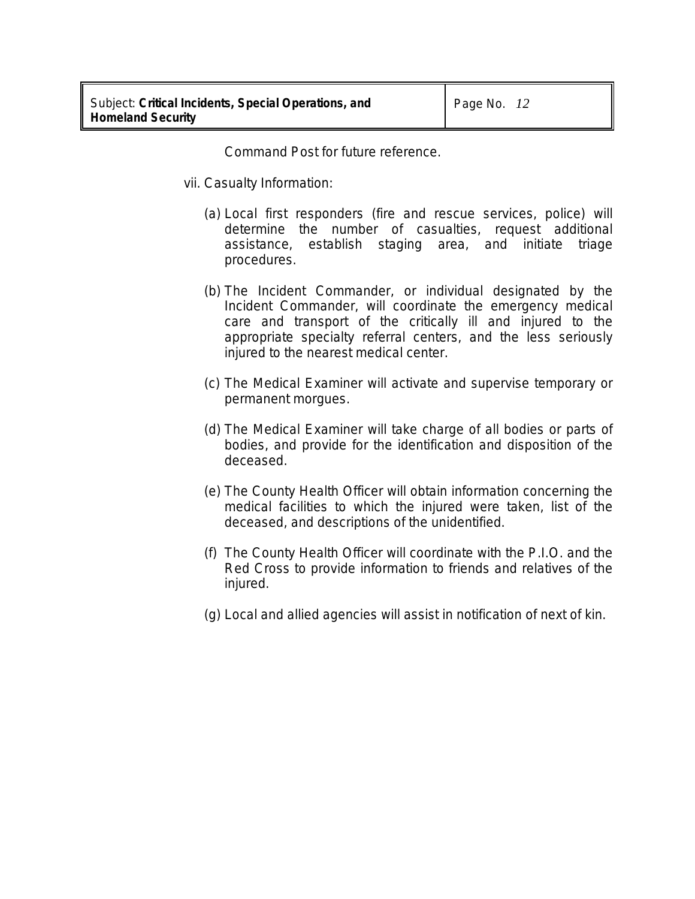Command Post for future reference.

- vii. Casualty Information:
	- (a) Local first responders (fire and rescue services, police) will determine the number of casualties, request additional assistance, establish staging area, and initiate triage procedures.
	- (b) The Incident Commander, or individual designated by the Incident Commander, will coordinate the emergency medical care and transport of the critically ill and injured to the appropriate specialty referral centers, and the less seriously injured to the nearest medical center.
	- (c) The Medical Examiner will activate and supervise temporary or permanent morgues.
	- (d) The Medical Examiner will take charge of all bodies or parts of bodies, and provide for the identification and disposition of the deceased.
	- (e) The County Health Officer will obtain information concerning the medical facilities to which the injured were taken, list of the deceased, and descriptions of the unidentified.
	- (f) The County Health Officer will coordinate with the P.I.O. and the Red Cross to provide information to friends and relatives of the injured.
	- (g) Local and allied agencies will assist in notification of next of kin.